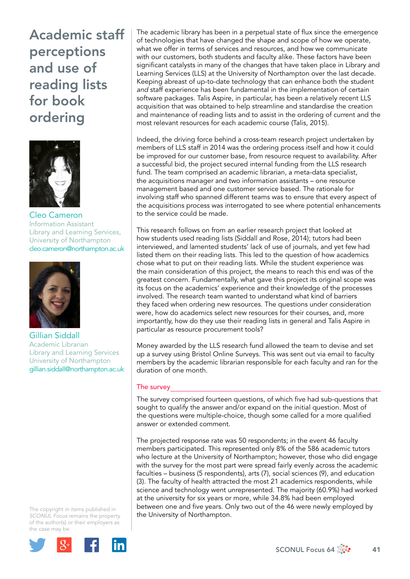

Cleo Cameron Information Assistant Library and Learning Services, University of Northampton cleo.cameron@northampton.ac.uk



Gillian Siddall Academic Librarian Library and Learning Services University of Northampton gillian.siddall@northampton.ac.uk

The copyright in items published in *SCONUL Focus* remains the property of the author(s) or their employers as the case m[ay be.](http://plus.google.com/share?url=http://www.sconul.ac.uk/page/focus-64)



The academic library has been in a perpetual state of flux since the emergence of technologies that have changed the shape and scope of how we operate, what we offer in terms of services and resources, and how we communicate with our customers, both students and faculty alike. These factors have been significant catalysts in many of the changes that have taken place in Library and Learning Services (LLS) at the University of Northampton over the last decade. Keeping abreast of up-to-date technology that can enhance both the student *and* staff experience has been fundamental in the implementation of certain software packages. Talis Aspire, in particular, has been a relatively recent LLS acquisition that was obtained to help streamline and standardise the creation and maintenance of reading lists and to assist in the ordering of current and the most relevant resources for each academic course (Talis, 2015).

Indeed, the driving force behind a cross-team research project undertaken by members of LLS staff in 2014 was the ordering process itself and how it could be improved for our customer base, from resource request to availability. After a successful bid, the project secured internal funding from the LLS research fund. The team comprised an academic librarian, a meta-data specialist, the acquisitions manager and two information assistants – one resource management based and one customer service based. The rationale for involving staff who spanned different teams was to ensure that every aspect of the acquisitions process was interrogated to see where potential enhancements to the service could be made.

This research follows on from an earlier research project that looked at how students used reading lists (Siddall and Rose, 2014); tutors had been interviewed, and lamented students' lack of use of journals, and yet few had listed them on their reading lists. This led to the question of how academics chose what to put on their reading lists. While the student experience was the main consideration of this project, the means to reach this end was of the greatest concern. Fundamentally, what gave this project its original scope was its focus on the academics' experience and their knowledge of the processes involved. The research team wanted to understand what kind of barriers they faced when ordering new resources. The questions under consideration were, how do academics select new resources for their courses, and, more importantly, how do they use their reading lists in general and Talis Aspire in particular as resource procurement tools?

Money awarded by the LLS research fund allowed the team to devise and set up a survey using Bristol Online Surveys. This was sent out via email to faculty members by the academic librarian responsible for each faculty and ran for the duration of one month.

### The survey

The survey comprised fourteen questions, of which five had sub-questions that sought to qualify the answer and/or expand on the initial question. Most of the questions were multiple-choice, though some called for a more qualified answer or extended comment.

The projected response rate was 50 respondents; in the event 46 faculty members participated. This represented only 8% of the 586 academic tutors who lecture at the University of Northampton; however, those who did engage with the survey for the most part were spread fairly evenly across the academic faculties – business (5 respondents), arts (7), social sciences (9), and education (3). The faculty of health attracted the most 21 academics respondents, while science and technology went unrepresented. The majority (60.9%) had worked at the university for six years or more, while 34.8% had been employed between one and five years. Only two out of the 46 were newly employed by the University of Northampton.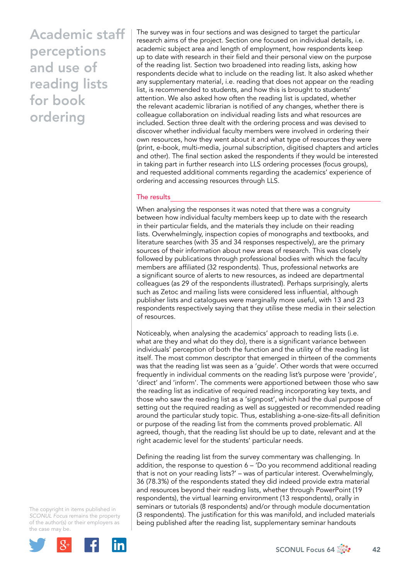The survey was in four sections and was designed to target the particular research aims of the project. Section one focused on individual details, i.e. academic subject area and length of employment, how respondents keep up to date with research in their field and their personal view on the purpose of the reading list. Section two broadened into reading lists, asking how respondents decide what to include on the reading list. It also asked whether any supplementary material, i.e. reading that does not appear on the reading list, is recommended to students, and how this is brought to students' attention. We also asked how often the reading list is updated, whether the relevant academic librarian is notified of any changes, whether there is colleague collaboration on individual reading lists and what resources are included. Section three dealt with the ordering process and was devised to discover whether individual faculty members were involved in ordering their own resources, how they went about it and what type of resources they were (print, e-book, multi-media, journal subscription, digitised chapters and articles and other). The final section asked the respondents if they would be interested in taking part in further research into LLS ordering processes (focus groups), and requested additional comments regarding the academics' experience of ordering and accessing resources through LLS.

#### The results

When analysing the responses it was noted that there was a congruity between how individual faculty members keep up to date with the research in their particular fields, and the materials they include on their reading lists. Overwhelmingly, inspection copies of monographs and textbooks, and literature searches (with 35 and 34 responses respectively), are the primary sources of their information about new areas of research. This was closely followed by publications through professional bodies with which the faculty members are affiliated (32 respondents). Thus, professional networks are a significant source of alerts to new resources, as indeed are departmental colleagues (as 29 of the respondents illustrated). Perhaps surprisingly, alerts such as Zetoc and mailing lists were considered less influential, although publisher lists and catalogues were marginally more useful, with 13 and 23 respondents respectively saying that they utilise these media in their selection of resources.

Noticeably, when analysing the academics' approach to reading lists (i.e. what are they and what do they do), there is a significant variance between individuals' perception of both the function and the utility of the reading list itself. The most common descriptor that emerged in thirteen of the comments was that the reading list was seen as a 'guide'. Other words that were occurred frequently in individual comments on the reading list's purpose were 'provide', 'direct' and 'inform'. The comments were apportioned between those who saw the reading list as indicative of required reading incorporating key texts, and those who saw the reading list as a 'signpost', which had the dual purpose of setting out the required reading as well as suggested or recommended reading around the particular study topic. Thus, establishing a-one-size-fits-all definition or purpose of the reading list from the comments proved problematic. All agreed, though, that the reading list should be up to date, relevant and at the right academic level for the students' particular needs.

Defining the reading list from the survey commentary was challenging. In addition, the response to question 6 – 'Do you recommend additional reading that is not on your reading lists?' – was of particular interest. Overwhelmingly, 36 (78.3%) of the respondents stated they did indeed provide extra material and resources beyond their reading lists, whether through PowerPoint (19 respondents), the virtual learning environment (13 respondents), orally in seminars or tutorials (8 respondents) and/or through module documentation (3 respondents). The justification for this was manifold, and included materials being published after the reading list, supplementary seminar handouts

The copyright in items published in *SCONUL Focus* remains the property of the author(s) or their employers as the case m[ay be.](http://plus.google.com/share?url=http://www.sconul.ac.uk/page/focus-64)

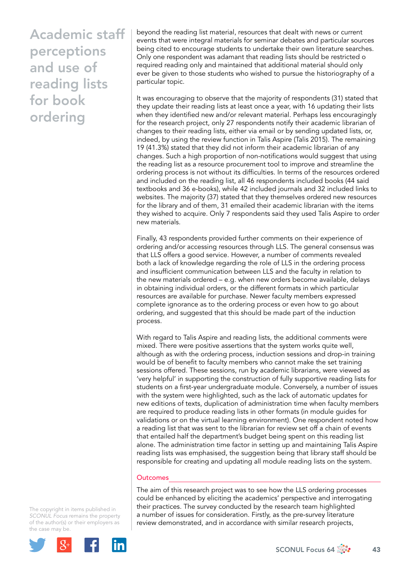beyond the reading list material, resources that dealt with news or current events that were integral materials for seminar debates and particular sources being cited to encourage students to undertake their own literature searches. Only one respondent was adamant that reading lists should be restricted o required reading only and maintained that additional material should only ever be given to those students who wished to pursue the historiography of a particular topic.

It was encouraging to observe that the majority of respondents (31) stated that they update their reading lists at least once a year, with 16 updating their lists when they identified new and/or relevant material. Perhaps less encouragingly for the research project, only 27 respondents notify their academic librarian of changes to their reading lists, either via email or by sending updated lists, or, indeed, by using the review function in Talis Aspire (Talis 2015). The remaining 19 (41.3%) stated that they did not inform their academic librarian of any changes. Such a high proportion of non-notifications would suggest that using the reading list as a resource procurement tool to improve and streamline the ordering process is not without its difficulties. In terms of the resources ordered and included on the reading list, all 46 respondents included books (44 said textbooks and 36 e-books), while 42 included journals and 32 included links to websites. The majority (37) stated that they themselves ordered new resources for the library and of them, 31 emailed their academic librarian with the items they wished to acquire. Only 7 respondents said they used Talis Aspire to order new materials.

Finally, 43 respondents provided further comments on their experience of ordering and/or accessing resources through LLS. The general consensus was that LLS offers a good service. However, a number of comments revealed both a lack of knowledge regarding the role of LLS in the ordering process and insufficient communication between LLS and the faculty in relation to the new materials ordered – e.g. when new orders become available, delays in obtaining individual orders, or the different formats in which particular resources are available for purchase. Newer faculty members expressed complete ignorance as to the ordering process or even how to go about ordering, and suggested that this should be made part of the induction process.

With regard to Talis Aspire and reading lists, the additional comments were mixed. There were positive assertions that the system works quite well, although as with the ordering process, induction sessions and drop-in training would be of benefit to faculty members who cannot make the set training sessions offered. These sessions, run by academic librarians, were viewed as 'very helpful' in supporting the construction of fully supportive reading lists for students on a first-year undergraduate module. Conversely, a number of issues with the system were highlighted, such as the lack of automatic updates for new editions of texts, duplication of administration time when faculty members are required to produce reading lists in other formats (in module guides for validations or on the virtual learning environment). One respondent noted how a reading list that was sent to the librarian for review set off a chain of events that entailed half the department's budget being spent on this reading list alone. The administration time factor in setting up and maintaining Talis Aspire reading lists was emphasised, the suggestion being that library staff should be responsible for creating and updating all module reading lists on the system.

#### **Outcomes**

The aim of this research project was to see how the LLS ordering processes could be enhanced by eliciting the academics' perspective and interrogating their practices. The survey conducted by the research team highlighted a number of issues for consideration. Firstly, as the pre-survey literature review demonstrated, and in accordance with similar research projects,

The copyright in items published in *SCONUL Focus* remains the property of the author(s) or their employers as the case m[ay be.](http://plus.google.com/share?url=http://www.sconul.ac.uk/page/focus-64)